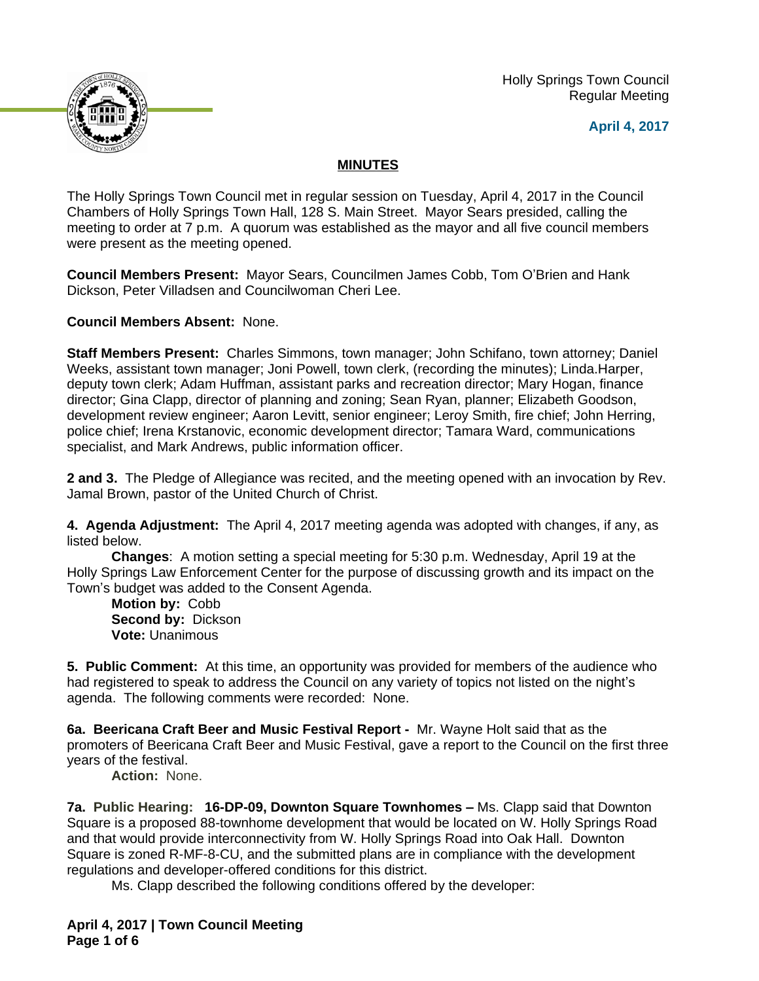Holly Springs Town Council Regular Meeting





## **MINUTES**

The Holly Springs Town Council met in regular session on Tuesday, April 4, 2017 in the Council Chambers of Holly Springs Town Hall, 128 S. Main Street. Mayor Sears presided, calling the meeting to order at 7 p.m. A quorum was established as the mayor and all five council members were present as the meeting opened.

**Council Members Present:** Mayor Sears, Councilmen James Cobb, Tom O'Brien and Hank Dickson, Peter Villadsen and Councilwoman Cheri Lee.

**Council Members Absent:** None.

**Staff Members Present:** Charles Simmons, town manager; John Schifano, town attorney; Daniel Weeks, assistant town manager; Joni Powell, town clerk, (recording the minutes); Linda.Harper, deputy town clerk; Adam Huffman, assistant parks and recreation director; Mary Hogan, finance director; Gina Clapp, director of planning and zoning; Sean Ryan, planner; Elizabeth Goodson, development review engineer; Aaron Levitt, senior engineer; Leroy Smith, fire chief; John Herring, police chief; Irena Krstanovic, economic development director; Tamara Ward, communications specialist, and Mark Andrews, public information officer.

**2 and 3.** The Pledge of Allegiance was recited, and the meeting opened with an invocation by Rev. Jamal Brown, pastor of the United Church of Christ.

**4. Agenda Adjustment:** The April 4, 2017 meeting agenda was adopted with changes, if any, as listed below.

**Changes**: A motion setting a special meeting for 5:30 p.m. Wednesday, April 19 at the Holly Springs Law Enforcement Center for the purpose of discussing growth and its impact on the Town's budget was added to the Consent Agenda.

**Motion by:** Cobb **Second by:** Dickson **Vote:** Unanimous

**5. Public Comment:** At this time, an opportunity was provided for members of the audience who had registered to speak to address the Council on any variety of topics not listed on the night's agenda. The following comments were recorded: None.

**6a. Beericana Craft Beer and Music Festival Report -** Mr. Wayne Holt said that as the promoters of Beericana Craft Beer and Music Festival, gave a report to the Council on the first three years of the festival.

**Action:** None.

**7a. Public Hearing: 16-DP-09, Downton Square Townhomes – Ms. Clapp said that Downton** Square is a proposed 88-townhome development that would be located on W. Holly Springs Road and that would provide interconnectivity from W. Holly Springs Road into Oak Hall. Downton Square is zoned R-MF-8-CU, and the submitted plans are in compliance with the development regulations and developer-offered conditions for this district.

Ms. Clapp described the following conditions offered by the developer: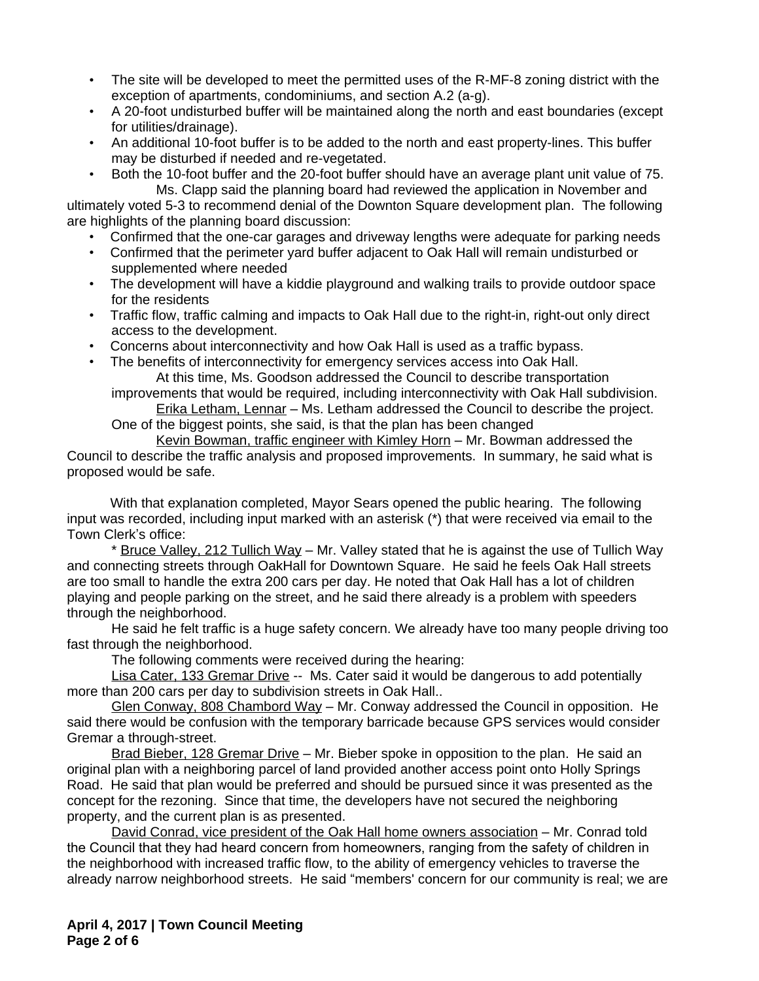- The site will be developed to meet the permitted uses of the R-MF-8 zoning district with the exception of apartments, condominiums, and section A.2 (a-g).
- A 20-foot undisturbed buffer will be maintained along the north and east boundaries (except for utilities/drainage).
- An additional 10-foot buffer is to be added to the north and east property-lines. This buffer may be disturbed if needed and re-vegetated.
- Both the 10-foot buffer and the 20-foot buffer should have an average plant unit value of 75. Ms. Clapp said the planning board had reviewed the application in November and

ultimately voted 5-3 to recommend denial of the Downton Square development plan. The following are highlights of the planning board discussion:

- Confirmed that the one-car garages and driveway lengths were adequate for parking needs
- Confirmed that the perimeter yard buffer adjacent to Oak Hall will remain undisturbed or supplemented where needed
- The development will have a kiddie playground and walking trails to provide outdoor space for the residents
- Traffic flow, traffic calming and impacts to Oak Hall due to the right-in, right-out only direct access to the development.
- Concerns about interconnectivity and how Oak Hall is used as a traffic bypass.
- The benefits of interconnectivity for emergency services access into Oak Hall. At this time, Ms. Goodson addressed the Council to describe transportation
	- improvements that would be required, including interconnectivity with Oak Hall subdivision. Erika Letham, Lennar – Ms. Letham addressed the Council to describe the project.

One of the biggest points, she said, is that the plan has been changed

Kevin Bowman, traffic engineer with Kimley Horn – Mr. Bowman addressed the Council to describe the traffic analysis and proposed improvements. In summary, he said what is proposed would be safe.

With that explanation completed, Mayor Sears opened the public hearing. The following input was recorded, including input marked with an asterisk (\*) that were received via email to the Town Clerk's office:

\* Bruce Valley, 212 Tullich Way – Mr. Valley stated that he is against the use of Tullich Way and connecting streets through OakHall for Downtown Square. He said he feels Oak Hall streets are too small to handle the extra 200 cars per day. He noted that Oak Hall has a lot of children playing and people parking on the street, and he said there already is a problem with speeders through the neighborhood.

He said he felt traffic is a huge safety concern. We already have too many people driving too fast through the neighborhood.

The following comments were received during the hearing:

Lisa Cater, 133 Gremar Drive -- Ms. Cater said it would be dangerous to add potentially more than 200 cars per day to subdivision streets in Oak Hall..

Glen Conway, 808 Chambord Way – Mr. Conway addressed the Council in opposition. He said there would be confusion with the temporary barricade because GPS services would consider Gremar a through-street.

Brad Bieber, 128 Gremar Drive – Mr. Bieber spoke in opposition to the plan. He said an original plan with a neighboring parcel of land provided another access point onto Holly Springs Road. He said that plan would be preferred and should be pursued since it was presented as the concept for the rezoning. Since that time, the developers have not secured the neighboring property, and the current plan is as presented.

David Conrad, vice president of the Oak Hall home owners association - Mr. Conrad told the Council that they had heard concern from homeowners, ranging from the safety of children in the neighborhood with increased traffic flow, to the ability of emergency vehicles to traverse the already narrow neighborhood streets. He said "members' concern for our community is real; we are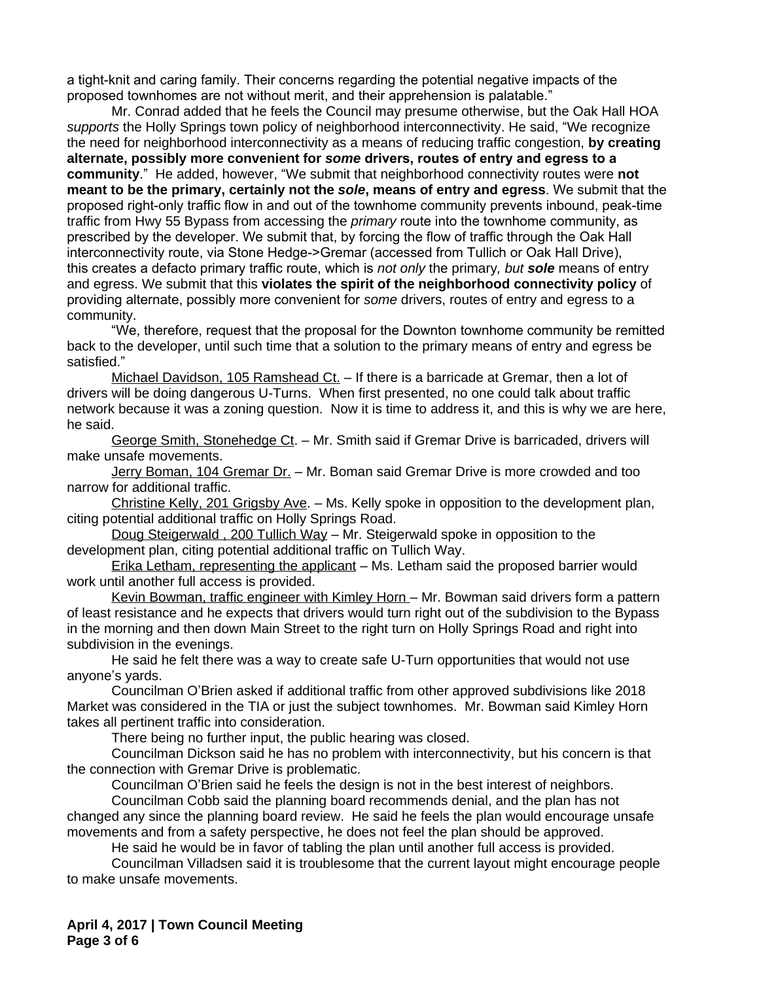a tight-knit and caring family. Their concerns regarding the potential negative impacts of the proposed townhomes are not without merit, and their apprehension is palatable."

Mr. Conrad added that he feels the Council may presume otherwise, but the Oak Hall HOA *supports* the Holly Springs town policy of neighborhood interconnectivity. He said, "We recognize the need for neighborhood interconnectivity as a means of reducing traffic congestion, **by creating alternate, possibly more convenient for** *some* **drivers, routes of entry and egress to a community**." He added, however, "We submit that neighborhood connectivity routes were **not meant to be the primary, certainly not the** *sole***, means of entry and egress**. We submit that the proposed right-only traffic flow in and out of the townhome community prevents inbound, peak-time traffic from Hwy 55 Bypass from accessing the *primary* route into the townhome community, as prescribed by the developer. We submit that, by forcing the flow of traffic through the Oak Hall interconnectivity route, via Stone Hedge->Gremar (accessed from Tullich or Oak Hall Drive), this creates a defacto primary traffic route, which is *not only* the primary*, but sole* means of entry and egress. We submit that this **violates the spirit of the neighborhood connectivity policy** of providing alternate, possibly more convenient for *some* drivers, routes of entry and egress to a community.

"We, therefore, request that the proposal for the Downton townhome community be remitted back to the developer, until such time that a solution to the primary means of entry and egress be satisfied."

Michael Davidson, 105 Ramshead Ct. - If there is a barricade at Gremar, then a lot of drivers will be doing dangerous U-Turns. When first presented, no one could talk about traffic network because it was a zoning question. Now it is time to address it, and this is why we are here, he said.

George Smith, Stonehedge Ct. – Mr. Smith said if Gremar Drive is barricaded, drivers will make unsafe movements.

Jerry Boman, 104 Gremar Dr. - Mr. Boman said Gremar Drive is more crowded and too narrow for additional traffic.

Christine Kelly, 201 Grigsby Ave. – Ms. Kelly spoke in opposition to the development plan, citing potential additional traffic on Holly Springs Road.

Doug Steigerwald , 200 Tullich Way – Mr. Steigerwald spoke in opposition to the development plan, citing potential additional traffic on Tullich Way.

Erika Letham, representing the applicant – Ms. Letham said the proposed barrier would work until another full access is provided.

Kevin Bowman, traffic engineer with Kimley Horn – Mr. Bowman said drivers form a pattern of least resistance and he expects that drivers would turn right out of the subdivision to the Bypass in the morning and then down Main Street to the right turn on Holly Springs Road and right into subdivision in the evenings.

He said he felt there was a way to create safe U-Turn opportunities that would not use anyone's yards.

Councilman O'Brien asked if additional traffic from other approved subdivisions like 2018 Market was considered in the TIA or just the subject townhomes. Mr. Bowman said Kimley Horn takes all pertinent traffic into consideration.

There being no further input, the public hearing was closed.

Councilman Dickson said he has no problem with interconnectivity, but his concern is that the connection with Gremar Drive is problematic.

Councilman O'Brien said he feels the design is not in the best interest of neighbors.

Councilman Cobb said the planning board recommends denial, and the plan has not changed any since the planning board review. He said he feels the plan would encourage unsafe movements and from a safety perspective, he does not feel the plan should be approved.

He said he would be in favor of tabling the plan until another full access is provided.

Councilman Villadsen said it is troublesome that the current layout might encourage people to make unsafe movements.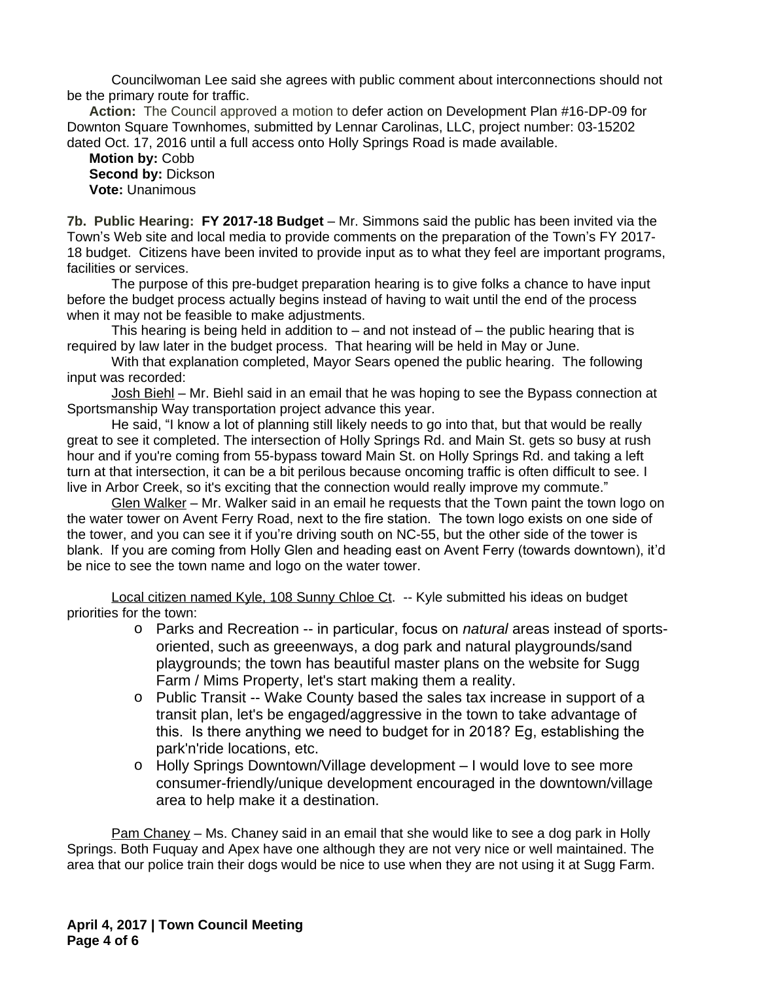Councilwoman Lee said she agrees with public comment about interconnections should not be the primary route for traffic.

**Action:** The Council approved a motion to defer action on Development Plan #16-DP-09 for Downton Square Townhomes, submitted by Lennar Carolinas, LLC, project number: 03-15202 dated Oct. 17, 2016 until a full access onto Holly Springs Road is made available.

**Motion by:** Cobb **Second by:** Dickson **Vote:** Unanimous

**7b. Public Hearing: FY 2017-18 Budget** – Mr. Simmons said the public has been invited via the Town's Web site and local media to provide comments on the preparation of the Town's FY 2017- 18 budget. Citizens have been invited to provide input as to what they feel are important programs, facilities or services.

The purpose of this pre-budget preparation hearing is to give folks a chance to have input before the budget process actually begins instead of having to wait until the end of the process when it may not be feasible to make adjustments.

This hearing is being held in addition to  $-$  and not instead of  $-$  the public hearing that is required by law later in the budget process. That hearing will be held in May or June.

With that explanation completed, Mayor Sears opened the public hearing. The following input was recorded:

Josh Biehl – Mr. Biehl said in an email that he was hoping to see the Bypass connection at Sportsmanship Way transportation project advance this year.

He said, "I know a lot of planning still likely needs to go into that, but that would be really great to see it completed. The intersection of Holly Springs Rd. and Main St. gets so busy at rush hour and if you're coming from 55-bypass toward Main St. on Holly Springs Rd. and taking a left turn at that intersection, it can be a bit perilous because oncoming traffic is often difficult to see. I live in Arbor Creek, so it's exciting that the connection would really improve my commute."

Glen Walker – Mr. Walker said in an email he requests that the Town paint the town logo on the water tower on Avent Ferry Road, next to the fire station. The town logo exists on one side of the tower, and you can see it if you're driving south on NC-55, but the other side of the tower is blank. If you are coming from Holly Glen and heading east on Avent Ferry (towards downtown), it'd be nice to see the town name and logo on the water tower.

Local citizen named Kyle, 108 Sunny Chloe Ct. -- Kyle submitted his ideas on budget priorities for the town:

- o Parks and Recreation -- in particular, focus on *natural* areas instead of sportsoriented, such as greeenways, a dog park and natural playgrounds/sand playgrounds; the town has beautiful master plans on the website for Sugg Farm / Mims Property, let's start making them a reality.
- o Public Transit -- Wake County based the sales tax increase in support of a transit plan, let's be engaged/aggressive in the town to take advantage of this. Is there anything we need to budget for in 2018? Eg, establishing the park'n'ride locations, etc.
- o Holly Springs Downtown/Village development I would love to see more consumer-friendly/unique development encouraged in the downtown/village area to help make it a destination.

Pam Chaney – Ms. Chaney said in an email that she would like to see a dog park in Holly Springs. Both Fuquay and Apex have one although they are not very nice or well maintained. The area that our police train their dogs would be nice to use when they are not using it at Sugg Farm.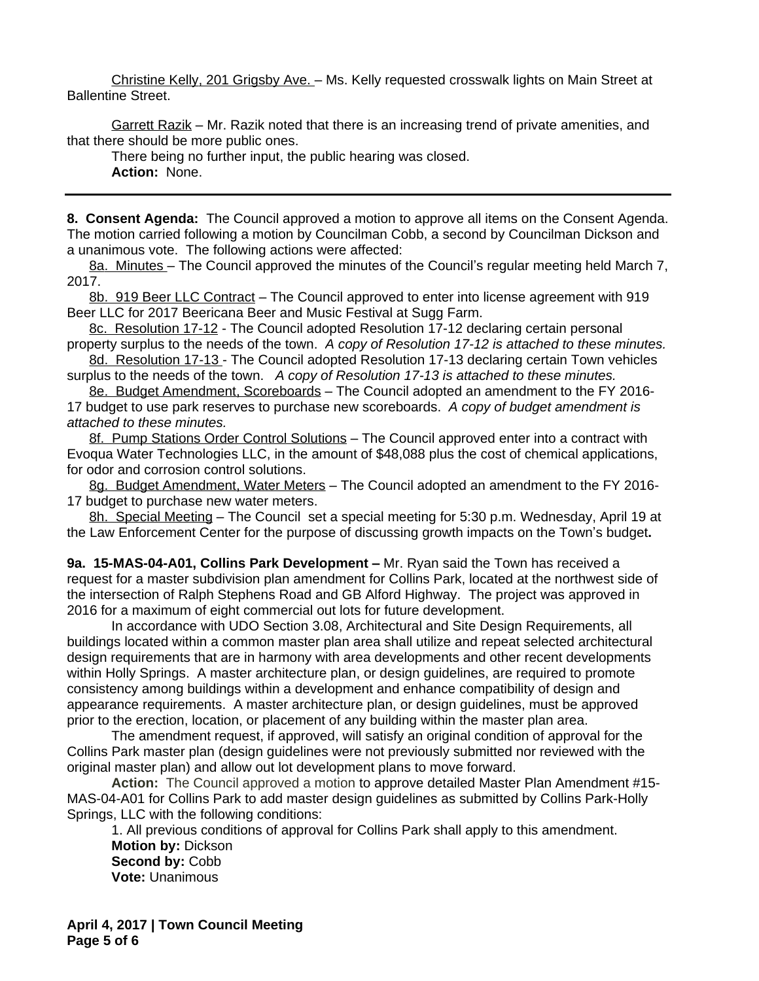Christine Kelly, 201 Grigsby Ave. – Ms. Kelly requested crosswalk lights on Main Street at Ballentine Street.

Garrett Razik – Mr. Razik noted that there is an increasing trend of private amenities, and that there should be more public ones.

There being no further input, the public hearing was closed.

**Action:** None.

**8. Consent Agenda:** The Council approved a motion to approve all items on the Consent Agenda. The motion carried following a motion by Councilman Cobb, a second by Councilman Dickson and a unanimous vote. The following actions were affected:

8a. Minutes - The Council approved the minutes of the Council's regular meeting held March 7, 2017.

8b. 919 Beer LLC Contract – The Council approved to enter into license agreement with 919 Beer LLC for 2017 Beericana Beer and Music Festival at Sugg Farm.

8c. Resolution 17-12 - The Council adopted Resolution 17-12 declaring certain personal property surplus to the needs of the town. *A copy of Resolution 17-12 is attached to these minutes.*

8d. Resolution 17-13 - The Council adopted Resolution 17-13 declaring certain Town vehicles surplus to the needs of the town.*A copy of Resolution 17-13 is attached to these minutes.*

8e. Budget Amendment, Scoreboards – The Council adopted an amendment to the FY 2016- 17 budget to use park reserves to purchase new scoreboards. *A copy of budget amendment is attached to these minutes.*

8f. Pump Stations Order Control Solutions - The Council approved enter into a contract with Evoqua Water Technologies LLC, in the amount of \$48,088 plus the cost of chemical applications, for odor and corrosion control solutions.

8g. Budget Amendment, Water Meters – The Council adopted an amendment to the FY 2016- 17 budget to purchase new water meters.

8h. Special Meeting - The Council set a special meeting for 5:30 p.m. Wednesday, April 19 at the Law Enforcement Center for the purpose of discussing growth impacts on the Town's budget**.**

**9a. 15-MAS-04-A01, Collins Park Development –** Mr. Ryan said the Town has received a request for a master subdivision plan amendment for Collins Park, located at the northwest side of the intersection of Ralph Stephens Road and GB Alford Highway. The project was approved in 2016 for a maximum of eight commercial out lots for future development.

In accordance with UDO Section 3.08, Architectural and Site Design Requirements, all buildings located within a common master plan area shall utilize and repeat selected architectural design requirements that are in harmony with area developments and other recent developments within Holly Springs. A master architecture plan, or design guidelines, are required to promote consistency among buildings within a development and enhance compatibility of design and appearance requirements. A master architecture plan, or design guidelines, must be approved prior to the erection, location, or placement of any building within the master plan area.

The amendment request, if approved, will satisfy an original condition of approval for the Collins Park master plan (design guidelines were not previously submitted nor reviewed with the original master plan) and allow out lot development plans to move forward.

**Action:** The Council approved a motion to approve detailed Master Plan Amendment #15- MAS-04-A01 for Collins Park to add master design guidelines as submitted by Collins Park-Holly Springs, LLC with the following conditions:

1. All previous conditions of approval for Collins Park shall apply to this amendment. **Motion by:** Dickson **Second by:** Cobb **Vote:** Unanimous